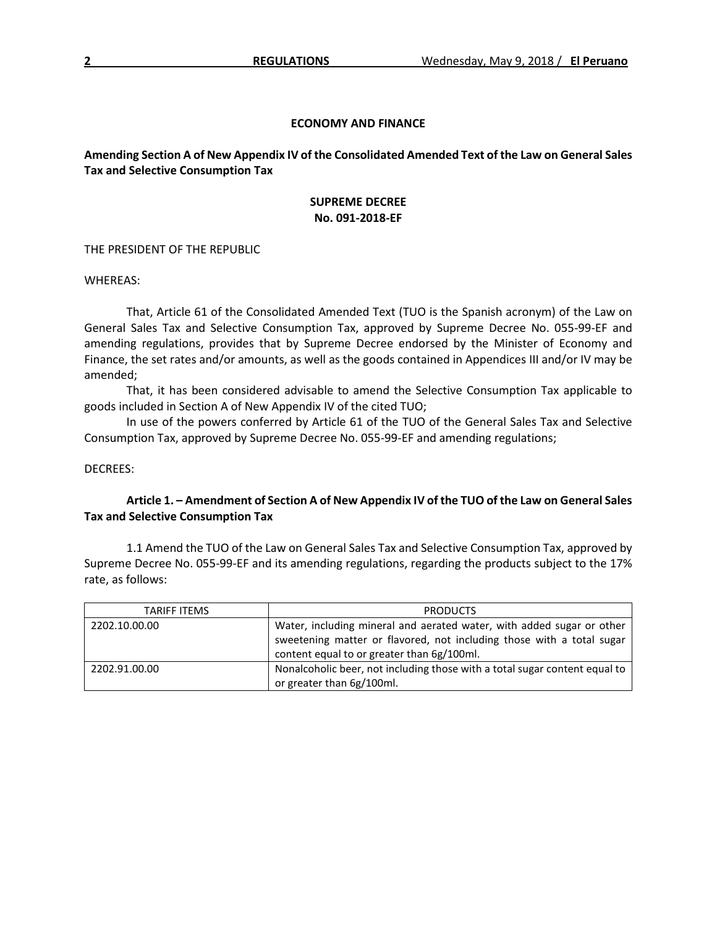## **ECONOMY AND FINANCE**

**Amending Section A of New Appendix IV of the Consolidated Amended Text of the Law on General Sales Tax and Selective Consumption Tax**

## **SUPREME DECREE No. 091-2018-EF**

THE PRESIDENT OF THE REPUBLIC

WHEREAS:

That, Article 61 of the Consolidated Amended Text (TUO is the Spanish acronym) of the Law on General Sales Tax and Selective Consumption Tax, approved by Supreme Decree No. 055-99-EF and amending regulations, provides that by Supreme Decree endorsed by the Minister of Economy and Finance, the set rates and/or amounts, as well as the goods contained in Appendices III and/or IV may be amended;

That, it has been considered advisable to amend the Selective Consumption Tax applicable to goods included in Section A of New Appendix IV of the cited TUO;

In use of the powers conferred by Article 61 of the TUO of the General Sales Tax and Selective Consumption Tax, approved by Supreme Decree No. 055-99-EF and amending regulations;

DECREES:

## **Article 1. – Amendment of Section A of New Appendix IV of the TUO of the Law on General Sales Tax and Selective Consumption Tax**

1.1 Amend the TUO of the Law on General Sales Tax and Selective Consumption Tax, approved by Supreme Decree No. 055-99-EF and its amending regulations, regarding the products subject to the 17% rate, as follows:

| TARIFF ITEMS  | <b>PRODUCTS</b>                                                            |
|---------------|----------------------------------------------------------------------------|
| 2202.10.00.00 | Water, including mineral and aerated water, with added sugar or other      |
|               | sweetening matter or flavored, not including those with a total sugar      |
|               | content equal to or greater than 6g/100ml.                                 |
| 2202.91.00.00 | Nonalcoholic beer, not including those with a total sugar content equal to |
|               | or greater than 6g/100ml.                                                  |